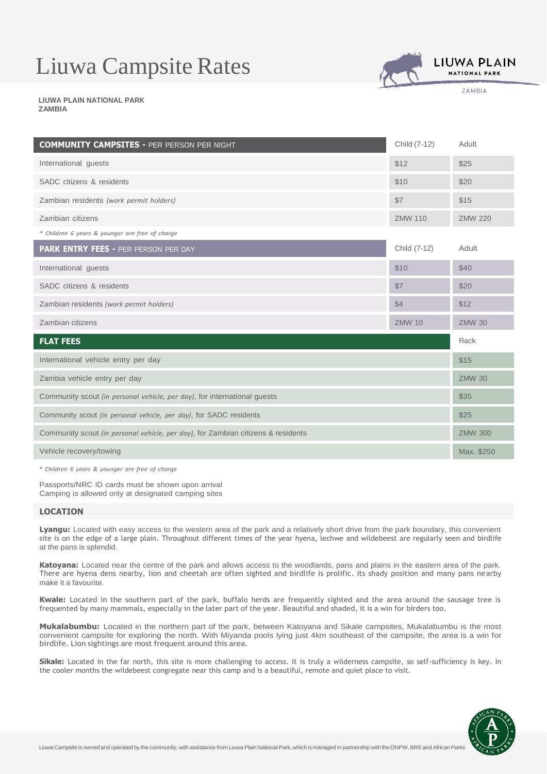# Liuwa Campsite Rates



**7AMBIA** 

2022 **LIUWA PLAIN NATIONAL PARK ZAMBIA**

| <b>COMMUNITY CAMPSITES - PER PERSON PER NIGHT</b>                                | Child (7-12)   | Adult          |
|----------------------------------------------------------------------------------|----------------|----------------|
| International guests                                                             | \$12           | \$25           |
| SADC citizens & residents                                                        | \$10           | \$20           |
| Zambian residents (work permit holders)                                          | \$7            | \$15           |
| Zambian citizens                                                                 | <b>ZMW 110</b> | <b>ZMW 220</b> |
| * Children 6 years & younger are free of charge                                  |                |                |
| PARK ENTRY FEES - PER PERSON PER DAY                                             | Child (7-12)   | Adult          |
| International guests                                                             | \$10           | \$40           |
| SADC citizens & residents                                                        | \$7            | \$20           |
| Zambian residents (work permit holders)                                          | \$4            | \$12           |
| Zambian citizens                                                                 | <b>ZMW 10</b>  | <b>ZMW 30</b>  |
| <b>FLAT FEES</b>                                                                 |                | Rack           |
| International vehicle entry per day                                              |                | \$15           |
| Zambia vehicle entry per day                                                     |                | <b>ZMW 30</b>  |
| Community scout (in personal vehicle, per day), for international quests         |                | \$35           |
| Community scout (in personal vehicle, per day), for SADC residents               |                | \$25           |
| Community scout (in personal vehicle, per day), for Zambian citizens & residents |                | <b>ZMW 300</b> |
| Vehicle recovery/towing                                                          |                | Max. \$250     |

*\* Children 6 years & younger are free of charge*

Passports/NRC ID cards must be shown upon arrival Camping is allowed only at designated camping sites

# **LOCATION**

**Lyangu:** Located with easy access to the western area of the park and a relatively short drive from the park boundary, this convenient site is on the edge of a large plain. Throughout different times of the year hyena, lechwe and wildebeest are regularly seen and birdlife at the pans is splendid.

**Katoyana:** Located near the centre of the park and allows access to the woodlands, pans and plains in the eastern area of the park. There are hyena dens nearby, lion and cheetah are often sighted and birdlife is prolific. Its shady position and many pans nearby make it a favourite.

**Kwale:** Located in the southern part of the park, buffalo herds are frequently sighted and the area around the sausage tree is frequented by many mammals, especially in the later part of the year. Beautiful and shaded, it is a win for birders too.

**Mukalabumbu:** Located in the northern part of the park, between Katoyana and Sikale campsites, Mukalabumbu is the most convenient campsite for exploring the north. With Miyanda pools lying just 4km southeast of the campsite, the area is a win for birdlife. Lion sightings are most frequent around this area.

**Sikale:** Located in the far north, this site is more challenging to access. It is truly a wilderness campsite, so self-sufficiency is key. In the cooler months the wildebeest congregate near this camp and is a beautiful, remote and quiet place to visit.

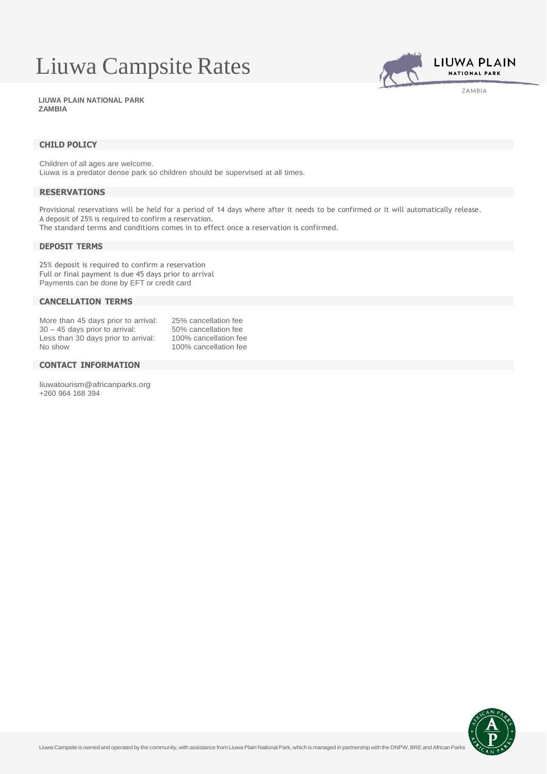# Liuwa Campsite Rates



2022 **LIUWA PLAIN NATIONAL PARK ZAMBIA**

# **CHILD POLICY**

Children of all ages are welcome. Liuwa is a predator dense park so children should be supervised at all times.

# **RESERVATIONS**

Provisional reservations will be held for a period of 14 days where after it needs to be confirmed or it will automatically release. A deposit of 25% is required to confirm a reservation.

The standard terms and conditions comes in to effect once a reservation is confirmed.

# **DEPOSIT TERMS**

25% deposit is required to confirm a reservation Full or final payment is due 45 days prior to arrival Payments can be done by EFT or credit card

# **CANCELLATION TERMS**

| More than 45 days prior to arrival: | 25% cancellation fee  |
|-------------------------------------|-----------------------|
| $30 - 45$ days prior to arrival:    | 50% cancellation fee  |
| Less than 30 days prior to arrival: | 100% cancellation fee |
| No show                             | 100% cancellation fee |
|                                     |                       |

# **CONTACT INFORMATION**

[liuwatourism@africanparks.org](mailto:liuwatourism@africanparks.org) +260 964 168 394

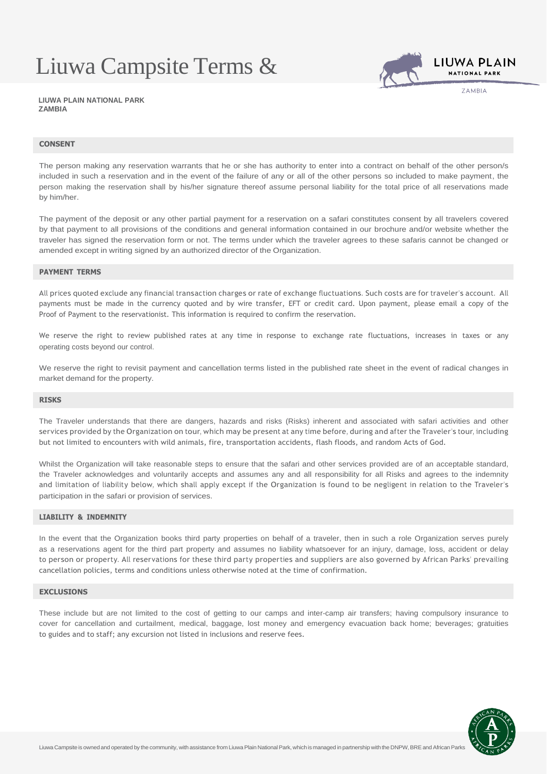# Liuwa Campsite Terms &



**7AMBIA** 

Conditions **LIUWA PLAIN NATIONAL PARK ZAMBIA**

### **CONSENT**

The person making any reservation warrants that he or she has authority to enter into a contract on behalf of the other person/s included in such a reservation and in the event of the failure of any or all of the other persons so included to make payment, the person making the reservation shall by his/her signature thereof assume personal liability for the total price of all reservations made by him/her.

The payment of the deposit or any other partial payment for a reservation on a safari constitutes consent by all travelers covered by that payment to all provisions of the conditions and general information contained in our brochure and/or website whether the traveler has signed the reservation form or not. The terms under which the traveler agrees to these safaris cannot be changed or amended except in writing signed by an authorized director of the Organization.

### **PAYMENT TERMS**

All prices quoted exclude any financial transaction charges or rate of exchange fluctuations. Such costs are for traveler's account. All payments must be made in the currency quoted and by wire transfer, EFT or credit card. Upon payment, please email a copy of the Proof of Payment to the reservationist. This information is required to confirm the reservation.

We reserve the right to review published rates at any time in response to exchange rate fluctuations, increases in taxes or any operating costs beyond our control.

We reserve the right to revisit payment and cancellation terms listed in the published rate sheet in the event of radical changes in market demand for the property.

#### **RISKS**

The Traveler understands that there are dangers, hazards and risks (Risks) inherent and associated with safari activities and other services provided by the Organization on tour, which may be present at any time before, during and after the Traveler's tour, including but not limited to encounters with wild animals, fire, transportation accidents, flash floods, and random Acts of God.

Whilst the Organization will take reasonable steps to ensure that the safari and other services provided are of an acceptable standard, the Traveler acknowledges and voluntarily accepts and assumes any and all responsibility for all Risks and agrees to the indemnity and limitation of liability below, which shall apply except if the Organization is found to be negligent in relation to the Traveler's participation in the safari or provision of services.

# **LIABILITY & INDEMNITY**

In the event that the Organization books third party properties on behalf of a traveler, then in such a role Organization serves purely as a reservations agent for the third part property and assumes no liability whatsoever for an injury, damage, loss, accident or delay to person or property. All reservations for these third party properties and suppliers are also governed by African Parks' prevailing cancellation policies, terms and conditions unless otherwise noted at the time of confirmation.

#### **EXCLUSIONS**

These include but are not limited to the cost of getting to our camps and inter-camp air transfers; having compulsory insurance to cover for cancellation and curtailment, medical, baggage, lost money and emergency evacuation back home; beverages; gratuities to guides and to staff; any excursion not listed in inclusions and reserve fees.